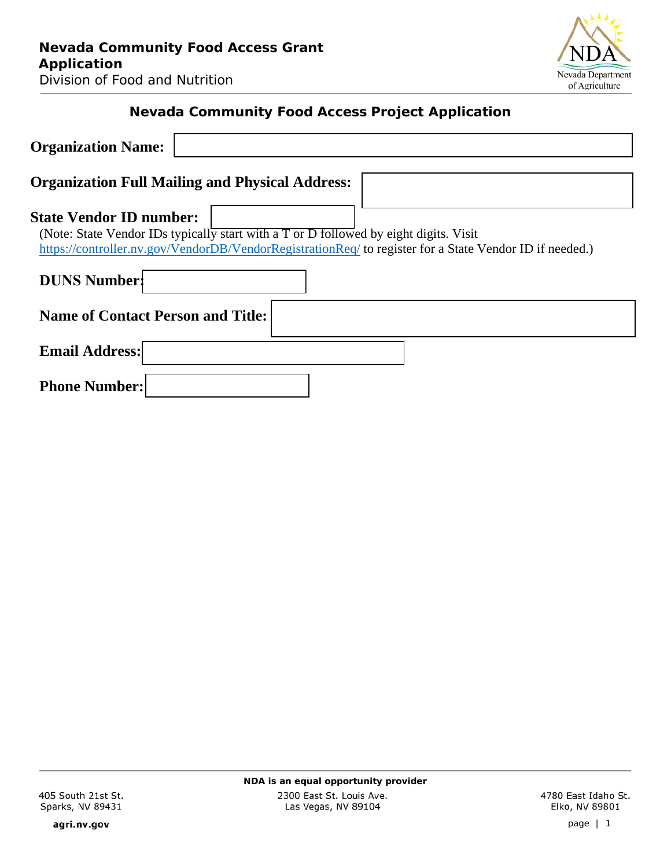

# **Nevada Community Food Access Project Application**

| <b>Organization Name:</b>                                                                                                                                                                                                          |
|------------------------------------------------------------------------------------------------------------------------------------------------------------------------------------------------------------------------------------|
| <b>Organization Full Mailing and Physical Address:</b>                                                                                                                                                                             |
| <b>State Vendor ID number:</b><br>(Note: State Vendor IDs typically start with a T or D followed by eight digits. Visit<br>https://controller.nv.gov/VendorDB/VendorRegistrationReq/ to register for a State Vendor ID if needed.) |
| <b>DUNS Number:</b>                                                                                                                                                                                                                |
| <b>Name of Contact Person and Title:</b>                                                                                                                                                                                           |
| <b>Email Address:</b>                                                                                                                                                                                                              |
| <b>Phone Number:</b>                                                                                                                                                                                                               |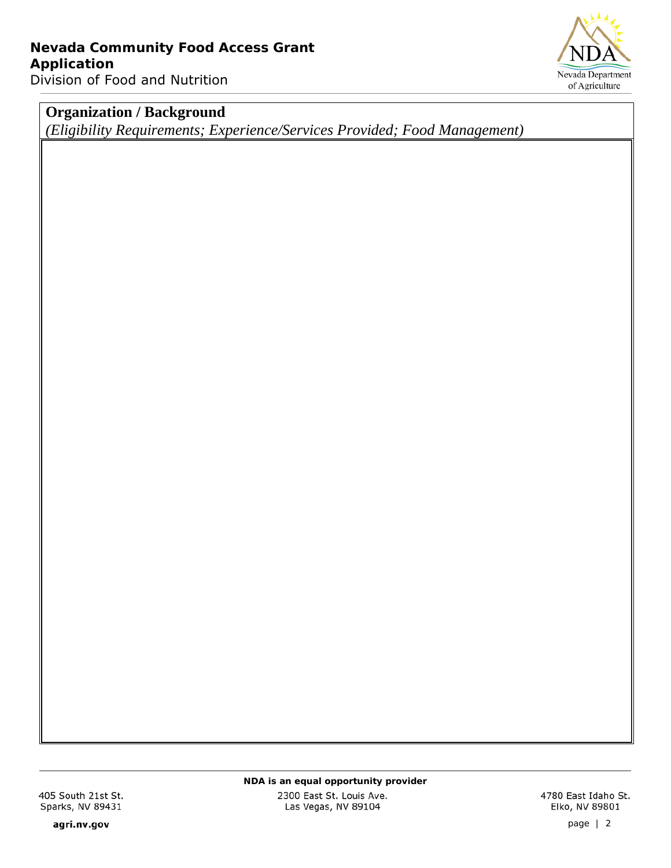Nevada Department of Agriculture

# **Organization / Background**

*(Eligibility Requirements; Experience/Services Provided; Food Management)*

405 South 21st St. Sparks, NV 89431

agri.nv.gov

*NDA is an equal opportunity provider*

2300 East St. Louis Ave. Las Vegas, NV 89104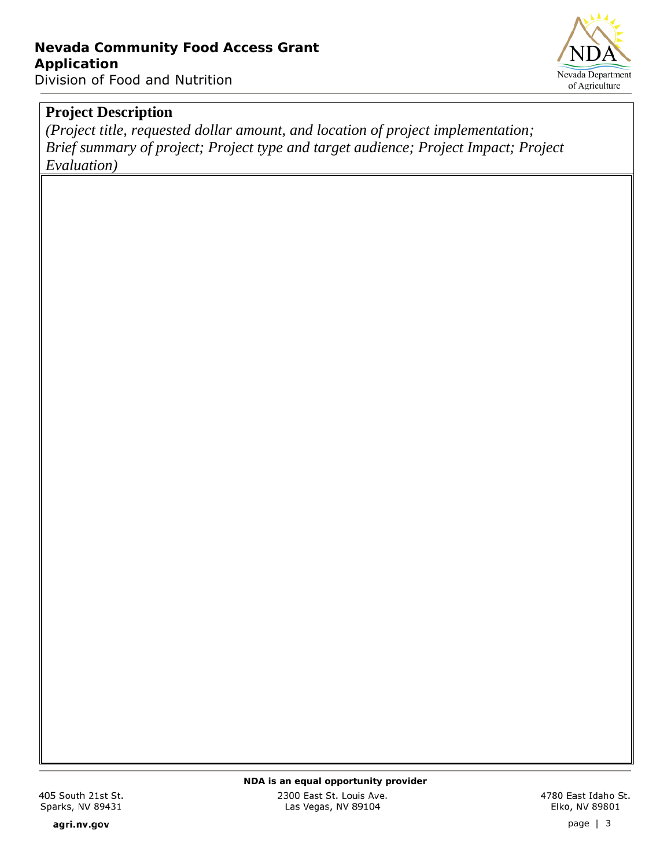

*(Project title, requested dollar amount, and location of project implementation; Brief summary of project; Project type and target audience; Project Impact; Project Evaluation)*

405 South 21st St. Sparks, NV 89431

*NDA is an equal opportunity provider*

2300 East St. Louis Ave. Las Vegas, NV 89104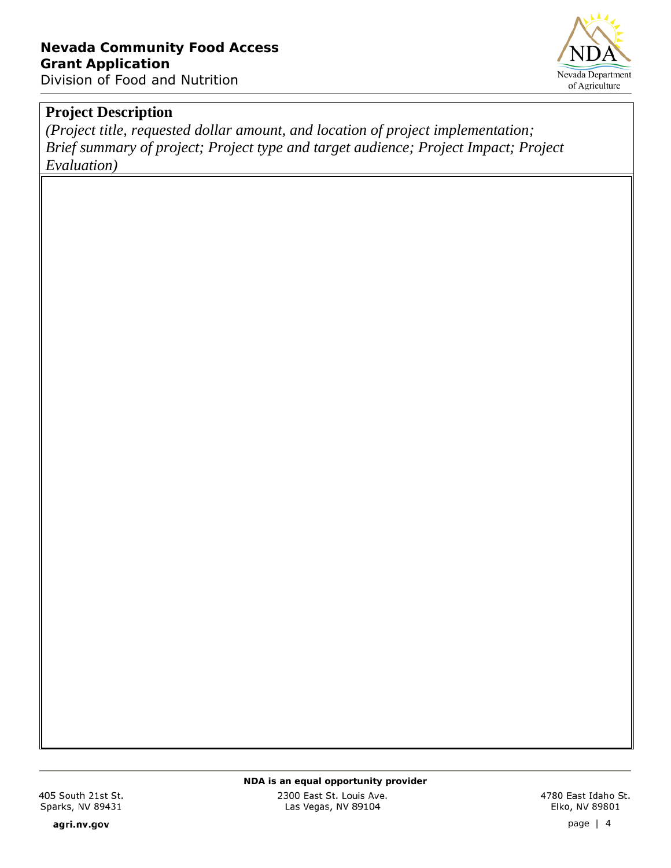

*(Project title, requested dollar amount, and location of project implementation; Brief summary of project; Project type and target audience; Project Impact; Project Evaluation)*

405 South 21st St. Sparks, NV 89431

agri.nv.gov

*NDA is an equal opportunity provider*

2300 East St. Louis Ave. Las Vegas, NV 89104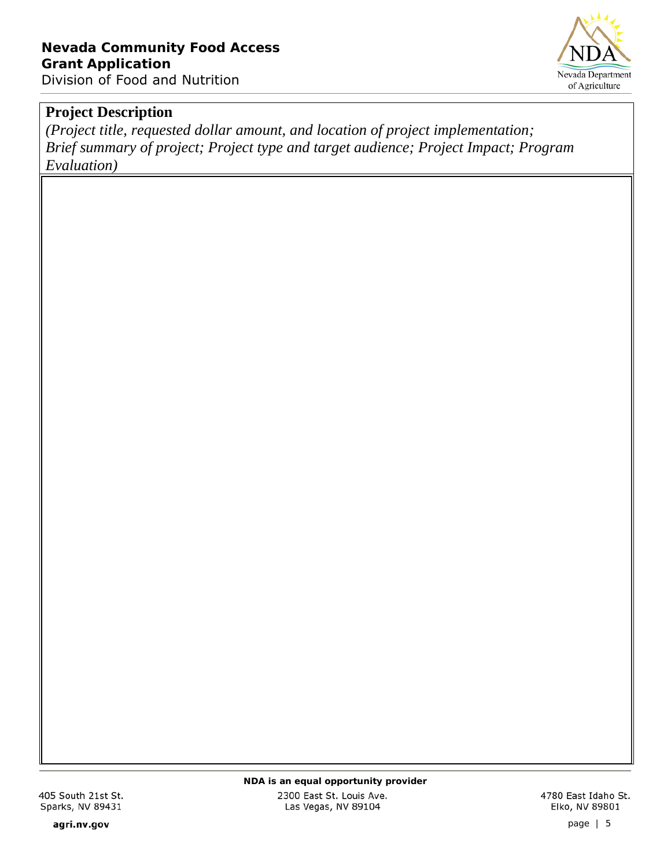

*(Project title, requested dollar amount, and location of project implementation; Brief summary of project; Project type and target audience; Project Impact; Program Evaluation)*

405 South 21st St. Sparks, NV 89431

agri.nv.gov

*NDA is an equal opportunity provider*

2300 East St. Louis Ave. Las Vegas, NV 89104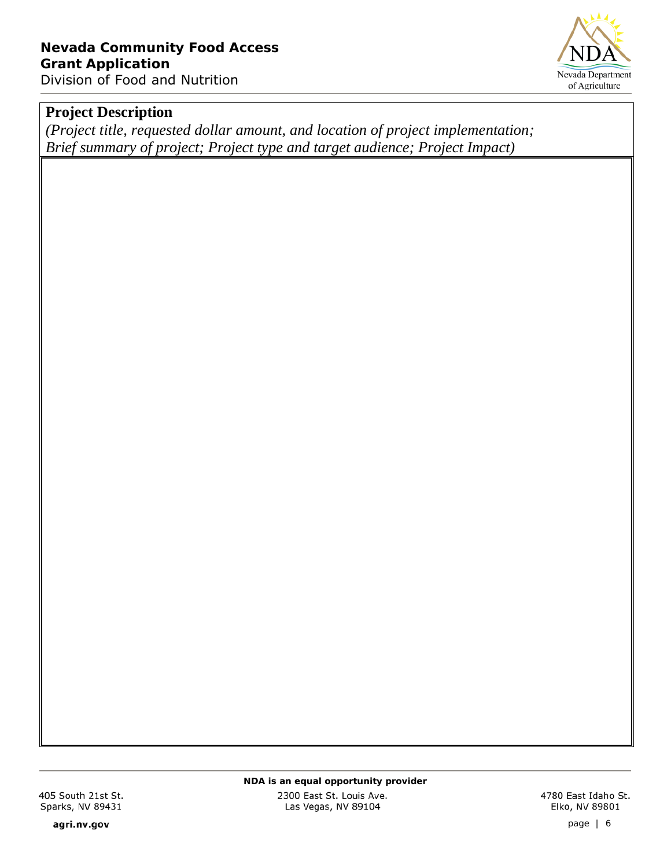

*(Project title, requested dollar amount, and location of project implementation; Brief summary of project; Project type and target audience; Project Impact)*

405 South 21st St. Sparks, NV 89431

agri.nv.gov

*NDA is an equal opportunity provider*

2300 East St. Louis Ave. Las Vegas, NV 89104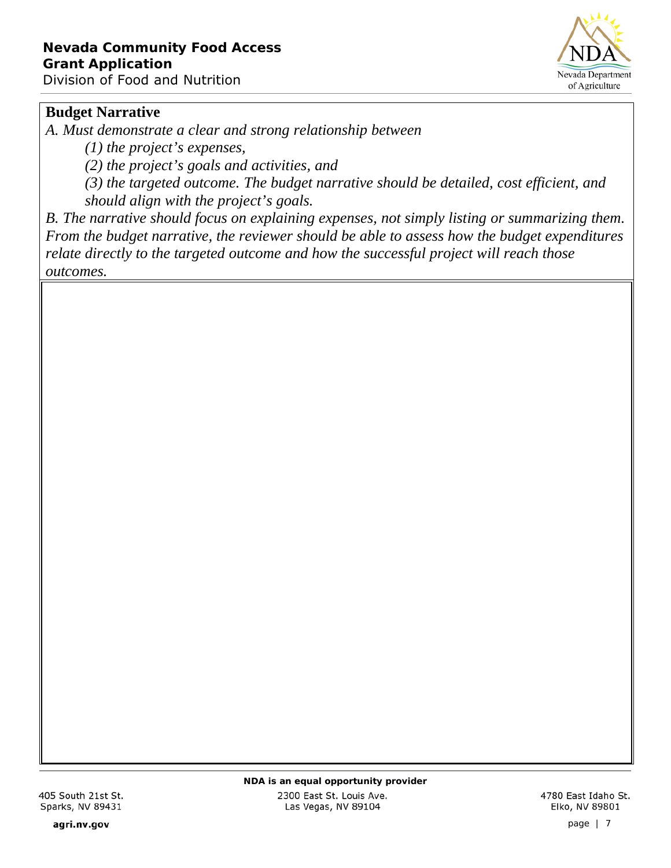

### **Budget Narrative**

*A. Must demonstrate a clear and strong relationship between*

*(1) the project's expenses,*

*(2) the project's goals and activities, and*

*(3) the targeted outcome. The budget narrative should be detailed, cost efficient, and should align with the project's goals.*

*B. The narrative should focus on explaining expenses, not simply listing or summarizing them. From the budget narrative, the reviewer should be able to assess how the budget expenditures relate directly to the targeted outcome and how the successful project will reach those outcomes.*

agri.nv.gov

2300 East St. Louis Ave. Las Vegas, NV 89104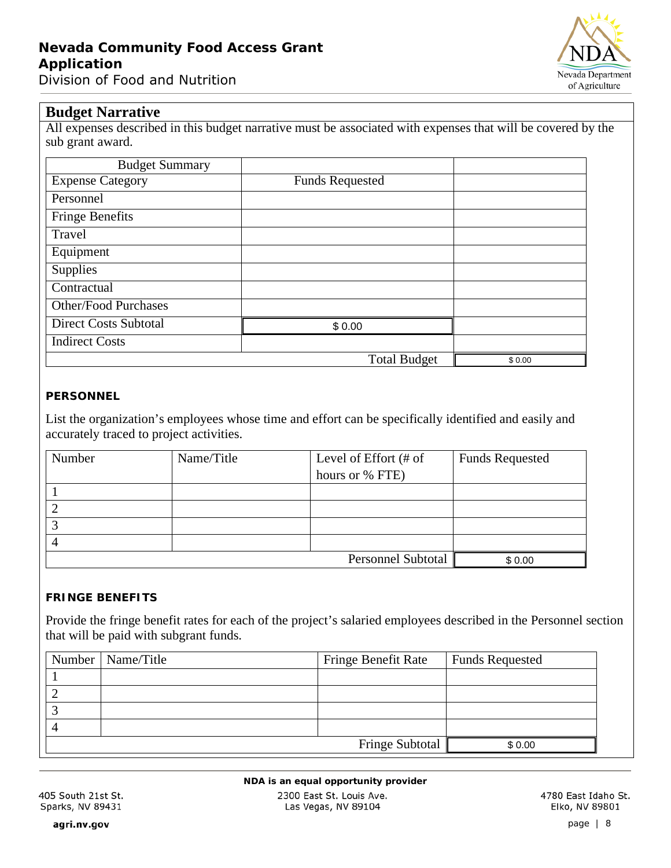

#### **Budget Narrative**

All expenses described in this budget narrative must be associated with expenses that will be covered by the sub grant award.

| <b>Budget Summary</b>        |                        |        |
|------------------------------|------------------------|--------|
| <b>Expense Category</b>      | <b>Funds Requested</b> |        |
| Personnel                    |                        |        |
| <b>Fringe Benefits</b>       |                        |        |
| Travel                       |                        |        |
| Equipment                    |                        |        |
| Supplies                     |                        |        |
| Contractual                  |                        |        |
| <b>Other/Food Purchases</b>  |                        |        |
| <b>Direct Costs Subtotal</b> | \$0.00                 |        |
| <b>Indirect Costs</b>        |                        |        |
|                              | <b>Total Budget</b>    | \$0.00 |

#### **PERSONNEL**

List the organization's employees whose time and effort can be specifically identified and easily and accurately traced to project activities.

| Number | Level of Effort (# of<br>Name/Title |                           | <b>Funds Requested</b> |
|--------|-------------------------------------|---------------------------|------------------------|
|        |                                     | hours or % FTE)           |                        |
|        |                                     |                           |                        |
|        |                                     |                           |                        |
|        |                                     |                           |                        |
|        |                                     |                           |                        |
|        |                                     | <b>Personnel Subtotal</b> | \$0.00                 |

#### **FRINGE BENEFITS**

Provide the fringe benefit rates for each of the project's salaried employees described in the Personnel section that will be paid with subgrant funds.

| Number   Name/Title | <b>Fringe Benefit Rate</b> | <b>Funds Requested</b> |  |
|---------------------|----------------------------|------------------------|--|
|                     |                            |                        |  |
|                     |                            |                        |  |
|                     |                            |                        |  |
|                     |                            |                        |  |
|                     | <b>Fringe Subtotal</b>     | \$0.00                 |  |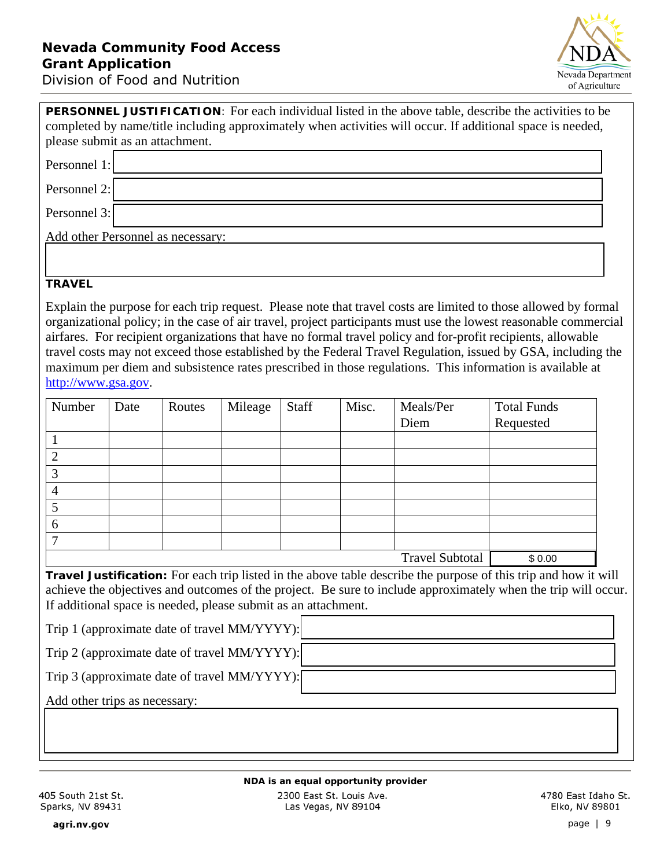

| <b>PERSONNEL JUSTIFICATION:</b> For each individual listed in the above table, describe the activities to be<br>completed by name/title including approximately when activities will occur. If additional space is needed, |
|----------------------------------------------------------------------------------------------------------------------------------------------------------------------------------------------------------------------------|
| please submit as an attachment.                                                                                                                                                                                            |
| Personnel 1:                                                                                                                                                                                                               |
| Personnel 2:                                                                                                                                                                                                               |
| Personnel 3:                                                                                                                                                                                                               |
| Add other Personnel as necessary:                                                                                                                                                                                          |
|                                                                                                                                                                                                                            |
| <b>TRAVEL</b>                                                                                                                                                                                                              |

Explain the purpose for each trip request. Please note that travel costs are limited to those allowed by formal organizational policy; in the case of air travel, project participants must use the lowest reasonable commercial airfares. For recipient organizations that have no formal travel policy and for-profit recipients, allowable travel costs may not exceed those established by the Federal Travel Regulation, issued by GSA, including the maximum per diem and subsistence rates prescribed in those regulations. This information is available at http://www.gsa.gov.

| Number                 | Date | Routes | Mileage | Staff | Misc.  | Meals/Per | <b>Total Funds</b> |
|------------------------|------|--------|---------|-------|--------|-----------|--------------------|
|                        |      |        |         |       |        | Diem      | Requested          |
|                        |      |        |         |       |        |           |                    |
| ↑                      |      |        |         |       |        |           |                    |
| 3                      |      |        |         |       |        |           |                    |
| 4                      |      |        |         |       |        |           |                    |
| 5                      |      |        |         |       |        |           |                    |
| 6                      |      |        |         |       |        |           |                    |
| ⇁                      |      |        |         |       |        |           |                    |
| <b>Travel Subtotal</b> |      |        |         |       | \$0.00 |           |                    |

**Travel Justification:** For each trip listed in the above table describe the purpose of this trip and how it will achieve the objectives and outcomes of the project. Be sure to include approximately when the trip will occur. If additional space is needed, please submit as an attachment.

Trip 1 (approximate date of travel MM/YYYY):

Trip 2 (approximate date of travel MM/YYYY):

Add other trips as necessary: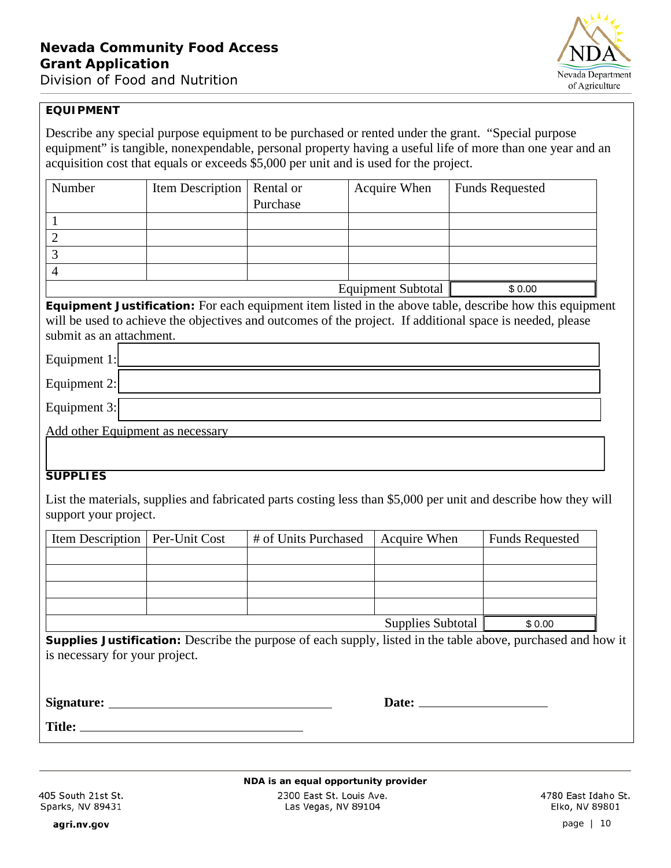

#### **EQUIPMENT**

Describe any special purpose equipment to be purchased or rented under the grant. "Special purpose equipment" is tangible, nonexpendable, personal property having a useful life of more than one year and an acquisition cost that equals or exceeds \$5,000 per unit and is used for the project.

| Number | Item Description   Rental or |          | Acquire When              | <b>Funds Requested</b> |
|--------|------------------------------|----------|---------------------------|------------------------|
|        |                              | Purchase |                           |                        |
|        |                              |          |                           |                        |
|        |                              |          |                           |                        |
|        |                              |          |                           |                        |
|        |                              |          |                           |                        |
|        |                              |          | <b>Equipment Subtotal</b> | \$0.00                 |

**Equipment Justification:** For each equipment item listed in the above table, describe how this equipment will be used to achieve the objectives and outcomes of the project. If additional space is needed, please submit as an attachment.

| Equipment 1: |                                  |
|--------------|----------------------------------|
| Equipment 2: |                                  |
| Equipment 3: |                                  |
|              | Add other Equipment as necessary |

#### **SUPPLIES**

List the materials, supplies and fabricated parts costing less than \$5,000 per unit and describe how they will support your project.

| Item Description   Per-Unit Cost | # of Units Purchased | Acquire When      | <b>Funds Requested</b> |
|----------------------------------|----------------------|-------------------|------------------------|
|                                  |                      |                   |                        |
|                                  |                      |                   |                        |
|                                  |                      |                   |                        |
|                                  |                      |                   |                        |
|                                  |                      | Supplies Subtotal | \$0.00                 |

**Supplies Justification:** Describe the purpose of each supply, listed in the table above, purchased and how it is necessary for your project.

**Signature:** <u>Date:</u> Date:

**Title:**

*NDA is an equal opportunity provider* 2300 East St. Louis Ave. Las Vegas, NV 89104

4780 East Idaho St. Elko, NV 89801

405 South 21st St. Sparks, NV 89431

agri.nv.gov